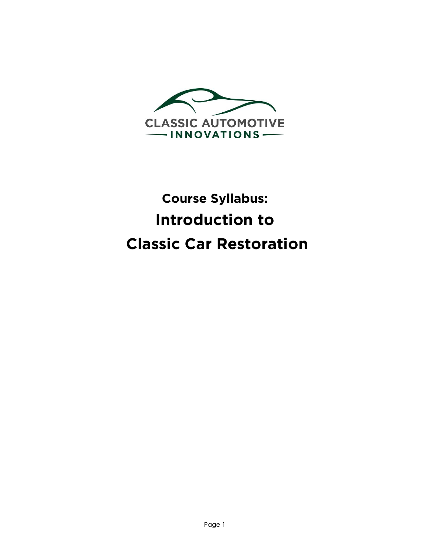

# **Course Syllabus: Introduction to Classic Car Restoration**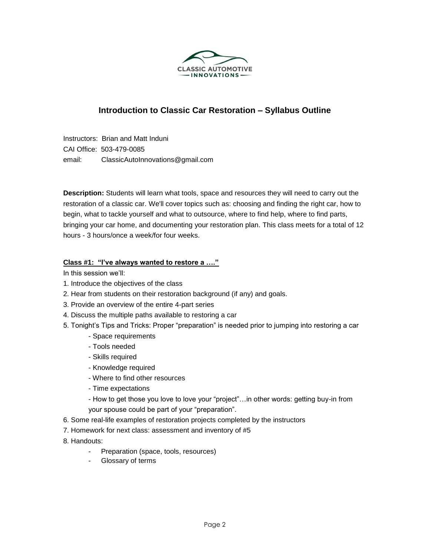

# **Introduction to Classic Car Restoration – Syllabus Outline**

Instructors: Brian and Matt Induni CAI Office: 503-479-0085 email: ClassicAutoInnovations@gmail.com

**Description:** Students will learn what tools, space and resources they will need to carry out the restoration of a classic car. We'll cover topics such as: choosing and finding the right car, how to begin, what to tackle yourself and what to outsource, where to find help, where to find parts, bringing your car home, and documenting your restoration plan. This class meets for a total of 12 hours - 3 hours/once a week/for four weeks.

## **Class #1: "I've always wanted to restore a …."**

In this session we'll:

- 1. Introduce the objectives of the class
- 2. Hear from students on their restoration background (if any) and goals.
- 3. Provide an overview of the entire 4-part series
- 4. Discuss the multiple paths available to restoring a car
- 5. Tonight's Tips and Tricks: Proper "preparation" is needed prior to jumping into restoring a car
	- Space requirements
	- Tools needed
	- Skills required
	- Knowledge required
	- Where to find other resources
	- Time expectations
	- How to get those you love to love your "project"…in other words: getting buy-in from your spouse could be part of your "preparation".
- 6. Some real-life examples of restoration projects completed by the instructors
- 7. Homework for next class: assessment and inventory of #5
- 8. Handouts:
	- Preparation (space, tools, resources)
	- Glossary of terms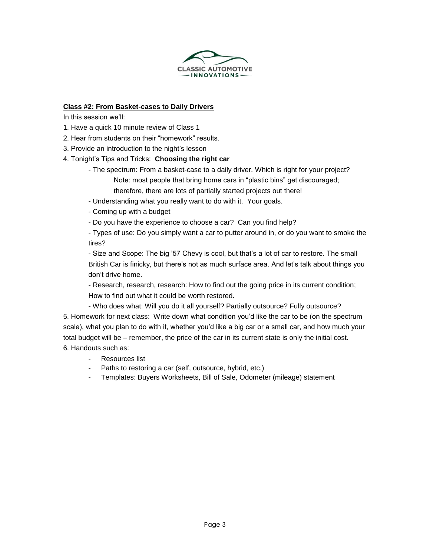

## **Class #2: From Basket-cases to Daily Drivers**

In this session we'll:

- 1. Have a quick 10 minute review of Class 1
- 2. Hear from students on their "homework" results.
- 3. Provide an introduction to the night's lesson
- 4. Tonight's Tips and Tricks: **Choosing the right car**
	- The spectrum: From a basket-case to a daily driver. Which is right for your project? Note: most people that bring home cars in "plastic bins" get discouraged; therefore, there are lots of partially started projects out there!
	- Understanding what you really want to do with it. Your goals.
	- Coming up with a budget
	- Do you have the experience to choose a car? Can you find help?

- Types of use: Do you simply want a car to putter around in, or do you want to smoke the tires?

- Size and Scope: The big '57 Chevy is cool, but that's a lot of car to restore. The small British Car is finicky, but there's not as much surface area. And let's talk about things you don't drive home.

- Research, research, research: How to find out the going price in its current condition; How to find out what it could be worth restored.

- Who does what: Will you do it all yourself? Partially outsource? Fully outsource?

5. Homework for next class: Write down what condition you'd like the car to be (on the spectrum scale), what you plan to do with it, whether you'd like a big car or a small car, and how much your total budget will be – remember, the price of the car in its current state is only the initial cost. 6. Handouts such as:

- Resources list
- Paths to restoring a car (self, outsource, hybrid, etc.)
- Templates: Buyers Worksheets, Bill of Sale, Odometer (mileage) statement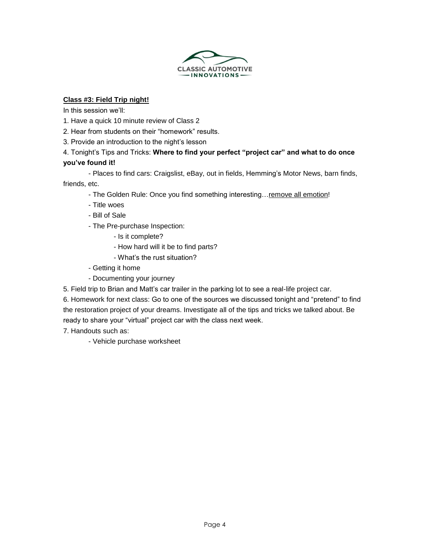

## **Class #3: Field Trip night!**

In this session we'll:

- 1. Have a quick 10 minute review of Class 2
- 2. Hear from students on their "homework" results.
- 3. Provide an introduction to the night's lesson

## 4. Tonight's Tips and Tricks: **Where to find your perfect "project car" and what to do once you've found it!**

- Places to find cars: Craigslist, eBay, out in fields, Hemming's Motor News, barn finds,

friends, etc.

- The Golden Rule: Once you find something interesting... remove all emotion!
- Title woes
- Bill of Sale
- The Pre-purchase Inspection:
	- Is it complete?
	- How hard will it be to find parts?
	- What's the rust situation?
- Getting it home
- Documenting your journey
- 5. Field trip to Brian and Matt's car trailer in the parking lot to see a real-life project car.

6. Homework for next class: Go to one of the sources we discussed tonight and "pretend" to find the restoration project of your dreams. Investigate all of the tips and tricks we talked about. Be ready to share your "virtual" project car with the class next week.

7. Handouts such as:

- Vehicle purchase worksheet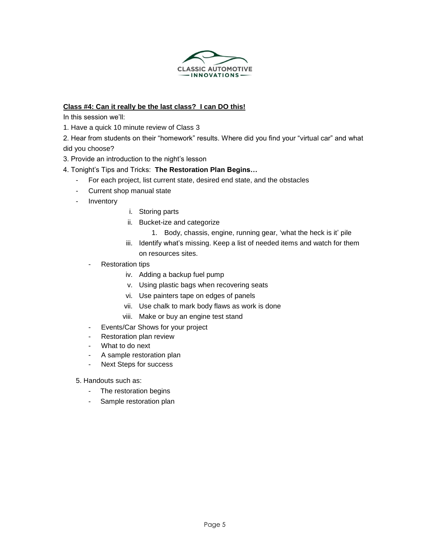

## **Class #4: Can it really be the last class? I can DO this!**

In this session we'll:

- 1. Have a quick 10 minute review of Class 3
- 2. Hear from students on their "homework" results. Where did you find your "virtual car" and what did you choose?
- 3. Provide an introduction to the night's lesson

## 4. Tonight's Tips and Tricks: **The Restoration Plan Begins…**

- For each project, list current state, desired end state, and the obstacles
- Current shop manual state
- Inventory
- i. Storing parts
- ii. Bucket-ize and categorize
	- 1. Body, chassis, engine, running gear, 'what the heck is it' pile
- iii. Identify what's missing. Keep a list of needed items and watch for them on resources sites.
- Restoration tips
	- iv. Adding a backup fuel pump
	- v. Using plastic bags when recovering seats
	- vi. Use painters tape on edges of panels
	- vii. Use chalk to mark body flaws as work is done
	- viii. Make or buy an engine test stand
- Events/Car Shows for your project
- Restoration plan review
- What to do next
- A sample restoration plan
- Next Steps for success

5. Handouts such as:

- The restoration begins
- Sample restoration plan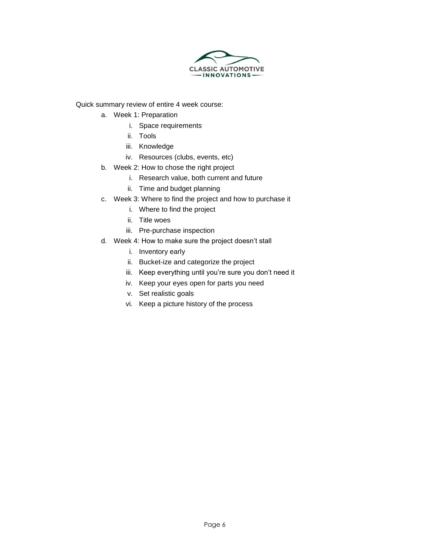

Quick summary review of entire 4 week course:

- a. Week 1: Preparation
	- i. Space requirements
	- ii. Tools
	- iii. Knowledge
	- iv. Resources (clubs, events, etc)
- b. Week 2: How to chose the right project
	- i. Research value, both current and future
	- ii. Time and budget planning
- c. Week 3: Where to find the project and how to purchase it
	- i. Where to find the project
	- ii. Title woes
	- iii. Pre-purchase inspection
- d. Week 4: How to make sure the project doesn't stall
	- i. Inventory early
	- ii. Bucket-ize and categorize the project
	- iii. Keep everything until you're sure you don't need it
	- iv. Keep your eyes open for parts you need
	- v. Set realistic goals
	- vi. Keep a picture history of the process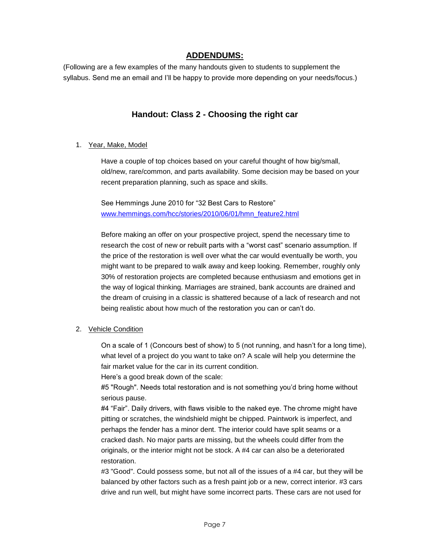## **ADDENDUMS:**

(Following are a few examples of the many handouts given to students to supplement the syllabus. Send me an email and I'll be happy to provide more depending on your needs/focus.)

# **Handout: Class 2 - Choosing the right car**

## 1. Year, Make, Model

Have a couple of top choices based on your careful thought of how big/small, old/new, rare/common, and parts availability. Some decision may be based on your recent preparation planning, such as space and skills.

See Hemmings June 2010 for "32 Best Cars to Restore" [www.hemmings.com/hcc/stories/2010/06/01/hmn\\_feature2.html](http://www.hemmings.com/hcc/stories/2010/06/01/hmn_feature2.html)

Before making an offer on your prospective project, spend the necessary time to research the cost of new or rebuilt parts with a "worst cast" scenario assumption. If the price of the restoration is well over what the car would eventually be worth, you might want to be prepared to walk away and keep looking. Remember, roughly only 30% of restoration projects are completed because enthusiasm and emotions get in the way of logical thinking. Marriages are strained, bank accounts are drained and the dream of cruising in a classic is shattered because of a lack of research and not being realistic about how much of the restoration you can or can't do.

## 2. Vehicle Condition

On a scale of 1 (Concours best of show) to 5 (not running, and hasn't for a long time), what level of a project do you want to take on? A scale will help you determine the fair market value for the car in its current condition.

Here's a good break down of the scale:

#5 "Rough". Needs total restoration and is not something you'd bring home without serious pause.

#4 "Fair". Daily drivers, with flaws visible to the naked eye. The chrome might have pitting or scratches, the windshield might be chipped. Paintwork is imperfect, and perhaps the fender has a minor dent. The interior could have split seams or a cracked dash. No major parts are missing, but the wheels could differ from the originals, or the interior might not be stock. A #4 car can also be a deteriorated restoration.

#3 "Good". Could possess some, but not all of the issues of a #4 car, but they will be balanced by other factors such as a fresh paint job or a new, correct interior. #3 cars drive and run well, but might have some incorrect parts. These cars are not used for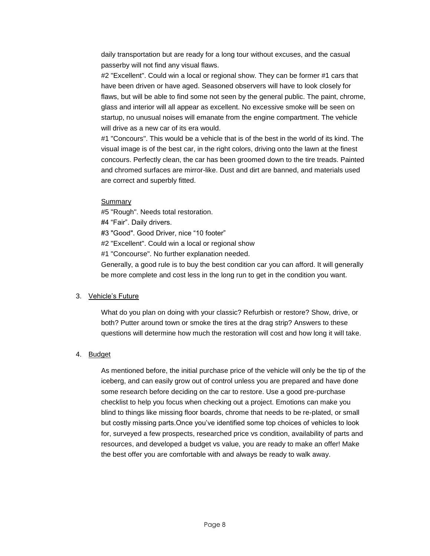daily transportation but are ready for a long tour without excuses, and the casual passerby will not find any visual flaws.

#2 "Excellent". Could win a local or regional show. They can be former #1 cars that have been driven or have aged. Seasoned observers will have to look closely for flaws, but will be able to find some not seen by the general public. The paint, chrome, glass and interior will all appear as excellent. No excessive smoke will be seen on startup, no unusual noises will emanate from the engine compartment. The vehicle will drive as a new car of its era would.

#1 "Concours". This would be a vehicle that is of the best in the world of its kind. The visual image is of the best car, in the right colors, driving onto the lawn at the finest concours. Perfectly clean, the car has been groomed down to the tire treads. Painted and chromed surfaces are mirror-like. Dust and dirt are banned, and materials used are correct and superbly fitted.

## Summary

#5 "Rough". Needs total restoration.

#4 "Fair". Daily drivers.

#3 "Good". Good Driver, nice "10 footer"

#2 "Excellent". Could win a local or regional show

#1 "Concourse". No further explanation needed.

Generally, a good rule is to buy the best condition car you can afford. It will generally be more complete and cost less in the long run to get in the condition you want.

## 3. Vehicle's Future

What do you plan on doing with your classic? Refurbish or restore? Show, drive, or both? Putter around town or smoke the tires at the drag strip? Answers to these questions will determine how much the restoration will cost and how long it will take.

## 4. Budget

As mentioned before, the initial purchase price of the vehicle will only be the tip of the iceberg, and can easily grow out of control unless you are prepared and have done some research before deciding on the car to restore. Use a good pre-purchase checklist to help you focus when checking out a project. Emotions can make you blind to things like missing floor boards, chrome that needs to be re-plated, or small but costly missing parts.Once you've identified some top choices of vehicles to look for, surveyed a few prospects, researched price vs condition, availability of parts and resources, and developed a budget vs value, you are ready to make an offer! Make the best offer you are comfortable with and always be ready to walk away.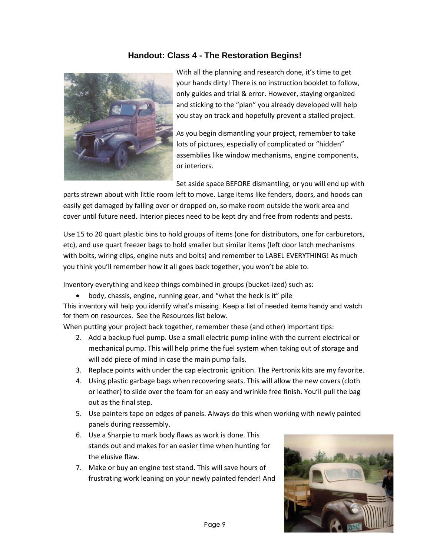# **Handout: Class 4 - The Restoration Begins!**



With all the planning and research done, it's time to get your hands dirty! There is no instruction booklet to follow, only guides and trial & error. However, staying organized and sticking to the "plan" you already developed will help you stay on track and hopefully prevent a stalled project.

As you begin dismantling your project, remember to take lots of pictures, especially of complicated or "hidden" assemblies like window mechanisms, engine components, or interiors.

Set aside space BEFORE dismantling, or you will end up with

parts strewn about with little room left to move. Large items like fenders, doors, and hoods can easily get damaged by falling over or dropped on, so make room outside the work area and cover until future need. Interior pieces need to be kept dry and free from rodents and pests.

Use 15 to 20 quart plastic bins to hold groups of items (one for distributors, one for carburetors, etc), and use quart freezer bags to hold smaller but similar items (left door latch mechanisms with bolts, wiring clips, engine nuts and bolts) and remember to LABEL EVERYTHING! As much you think you'll remember how it all goes back together, you won't be able to.

Inventory everything and keep things combined in groups (bucket-ized) such as:

body, chassis, engine, running gear, and "what the heck is it" pile

This inventory will help you identify what's missing. Keep a list of needed items handy and watch for them on resources. See the Resources list below.

When putting your project back together, remember these (and other) important tips:

- 2. Add a backup fuel pump. Use a small electric pump inline with the current electrical or mechanical pump. This will help prime the fuel system when taking out of storage and will add piece of mind in case the main pump fails.
- 3. Replace points with under the cap electronic ignition. The Pertronix kits are my favorite.
- 4. Using plastic garbage bags when recovering seats. This will allow the new covers (cloth or leather) to slide over the foam for an easy and wrinkle free finish. You'll pull the bag out as the final step.
- 5. Use painters tape on edges of panels. Always do this when working with newly painted panels during reassembly.
- 6. Use a Sharpie to mark body flaws as work is done. This stands out and makes for an easier time when hunting for the elusive flaw.
- 7. Make or buy an engine test stand. This will save hours of frustrating work leaning on your newly painted fender! And